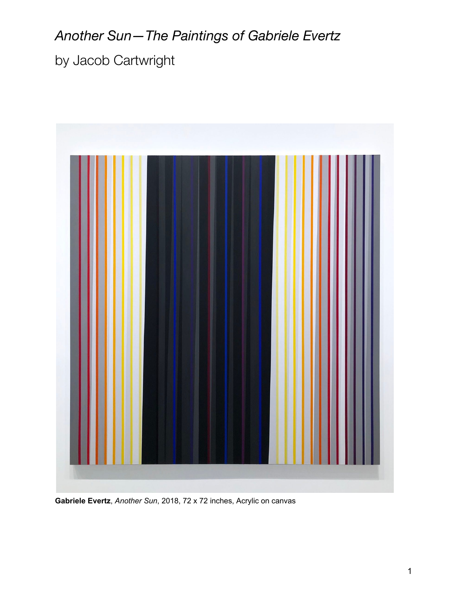## *Another Sun—The Paintings of Gabriele Evertz*

by Jacob Cartwright



**Gabriele Evertz**, *Another Sun*, 2018, 72 x 72 inches, Acrylic on canvas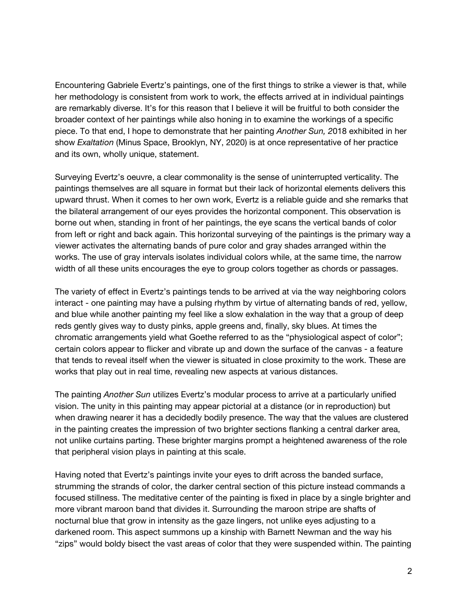Encountering Gabriele Evertz's paintings, one of the first things to strike a viewer is that, while her methodology is consistent from work to work, the effects arrived at in individual paintings are remarkably diverse. It's for this reason that I believe it will be fruitful to both consider the broader context of her paintings while also honing in to examine the workings of a specific piece. To that end, I hope to demonstrate that her painting *Another Sun, 2*018 exhibited in her show *Exaltation* (Minus Space, Brooklyn, NY, 2020) is at once representative of her practice and its own, wholly unique, statement.

Surveying Evertz's oeuvre, a clear commonality is the sense of uninterrupted verticality. The paintings themselves are all square in format but their lack of horizontal elements delivers this upward thrust. When it comes to her own work, Evertz is a reliable guide and she remarks that the bilateral arrangement of our eyes provides the horizontal component. This observation is borne out when, standing in front of her paintings, the eye scans the vertical bands of color from left or right and back again. This horizontal surveying of the paintings is the primary way a viewer activates the alternating bands of pure color and gray shades arranged within the works. The use of gray intervals isolates individual colors while, at the same time, the narrow width of all these units encourages the eye to group colors together as chords or passages.

The variety of effect in Evertz's paintings tends to be arrived at via the way neighboring colors interact - one painting may have a pulsing rhythm by virtue of alternating bands of red, yellow, and blue while another painting my feel like a slow exhalation in the way that a group of deep reds gently gives way to dusty pinks, apple greens and, finally, sky blues. At times the chromatic arrangements yield what Goethe referred to as the "physiological aspect of color"; certain colors appear to flicker and vibrate up and down the surface of the canvas - a feature that tends to reveal itself when the viewer is situated in close proximity to the work. These are works that play out in real time, revealing new aspects at various distances.

The painting *Another Sun* utilizes Evertz's modular process to arrive at a particularly unified vision. The unity in this painting may appear pictorial at a distance (or in reproduction) but when drawing nearer it has a decidedly bodily presence. The way that the values are clustered in the painting creates the impression of two brighter sections flanking a central darker area, not unlike curtains parting. These brighter margins prompt a heightened awareness of the role that peripheral vision plays in painting at this scale.

Having noted that Evertz's paintings invite your eyes to drift across the banded surface, strumming the strands of color, the darker central section of this picture instead commands a focused stillness. The meditative center of the painting is fixed in place by a single brighter and more vibrant maroon band that divides it. Surrounding the maroon stripe are shafts of nocturnal blue that grow in intensity as the gaze lingers, not unlike eyes adjusting to a darkened room. This aspect summons up a kinship with Barnett Newman and the way his "zips" would boldy bisect the vast areas of color that they were suspended within. The painting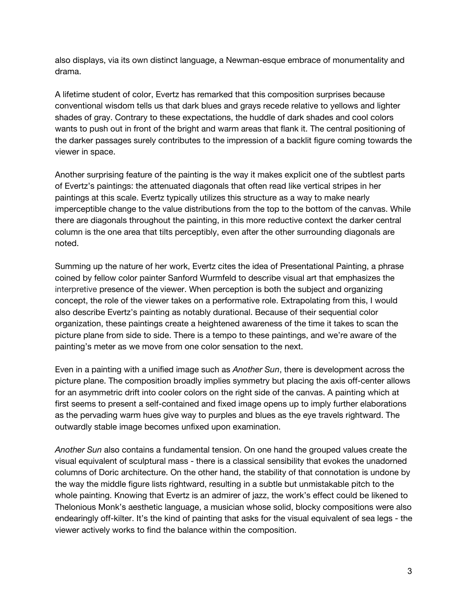also displays, via its own distinct language, a Newman-esque embrace of monumentality and drama.

A lifetime student of color, Evertz has remarked that this composition surprises because conventional wisdom tells us that dark blues and grays recede relative to yellows and lighter shades of gray. Contrary to these expectations, the huddle of dark shades and cool colors wants to push out in front of the bright and warm areas that flank it. The central positioning of the darker passages surely contributes to the impression of a backlit figure coming towards the viewer in space.

Another surprising feature of the painting is the way it makes explicit one of the subtlest parts of Evertz's paintings: the attenuated diagonals that often read like vertical stripes in her paintings at this scale. Evertz typically utilizes this structure as a way to make nearly imperceptible change to the value distributions from the top to the bottom of the canvas. While there are diagonals throughout the painting, in this more reductive context the darker central column is the one area that tilts perceptibly, even after the other surrounding diagonals are noted.

Summing up the nature of her work, Evertz cites the idea of Presentational Painting, a phrase coined by fellow color painter Sanford Wurmfeld to describe visual art that emphasizes the interpretive presence of the viewer. When perception is both the subject and organizing concept, the role of the viewer takes on a performative role. Extrapolating from this, I would also describe Evertz's painting as notably durational. Because of their sequential color organization, these paintings create a heightened awareness of the time it takes to scan the picture plane from side to side. There is a tempo to these paintings, and we're aware of the painting's meter as we move from one color sensation to the next.

Even in a painting with a unified image such as *Another Sun*, there is development across the picture plane. The composition broadly implies symmetry but placing the axis off-center allows for an asymmetric drift into cooler colors on the right side of the canvas. A painting which at first seems to present a self-contained and fixed image opens up to imply further elaborations as the pervading warm hues give way to purples and blues as the eye travels rightward. The outwardly stable image becomes unfixed upon examination.

*Another Sun* also contains a fundamental tension. On one hand the grouped values create the visual equivalent of sculptural mass - there is a classical sensibility that evokes the unadorned columns of Doric architecture. On the other hand, the stability of that connotation is undone by the way the middle figure lists rightward, resulting in a subtle but unmistakable pitch to the whole painting. Knowing that Evertz is an admirer of jazz, the work's effect could be likened to Thelonious Monk's aesthetic language, a musician whose solid, blocky compositions were also endearingly off-kilter. It's the kind of painting that asks for the visual equivalent of sea legs - the viewer actively works to find the balance within the composition.